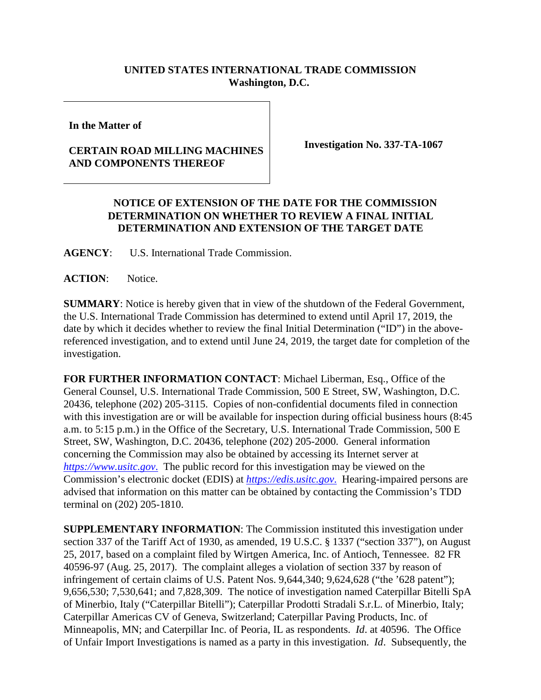## **UNITED STATES INTERNATIONAL TRADE COMMISSION Washington, D.C.**

**In the Matter of**

## **CERTAIN ROAD MILLING MACHINES AND COMPONENTS THEREOF**

**Investigation No. 337-TA-1067** 

## **NOTICE OF EXTENSION OF THE DATE FOR THE COMMISSION DETERMINATION ON WHETHER TO REVIEW A FINAL INITIAL DETERMINATION AND EXTENSION OF THE TARGET DATE**

**AGENCY**: U.S. International Trade Commission.

**ACTION**: Notice.

**SUMMARY**: Notice is hereby given that in view of the shutdown of the Federal Government, the U.S. International Trade Commission has determined to extend until April 17, 2019, the date by which it decides whether to review the final Initial Determination ("ID") in the abovereferenced investigation, and to extend until June 24, 2019, the target date for completion of the investigation.

**FOR FURTHER INFORMATION CONTACT**: Michael Liberman, Esq., Office of the General Counsel, U.S. International Trade Commission, 500 E Street, SW, Washington, D.C. 20436, telephone (202) 205-3115. Copies of non-confidential documents filed in connection with this investigation are or will be available for inspection during official business hours (8:45) a.m. to 5:15 p.m.) in the Office of the Secretary, U.S. International Trade Commission, 500 E Street, SW, Washington, D.C. 20436, telephone (202) 205-2000. General information concerning the Commission may also be obtained by accessing its Internet server at *[https://www.usitc.gov](https://www.usitc.gov./)*. The public record for this investigation may be viewed on the Commission's electronic docket (EDIS) at *[https://edis.usitc.gov](https://edis.usitc.gov./)*. Hearing-impaired persons are advised that information on this matter can be obtained by contacting the Commission's TDD terminal on (202) 205-1810.

**SUPPLEMENTARY INFORMATION**: The Commission instituted this investigation under section 337 of the Tariff Act of 1930, as amended, 19 U.S.C. § 1337 ("section 337"), on August 25, 2017, based on a complaint filed by Wirtgen America, Inc. of Antioch, Tennessee. 82 FR 40596-97 (Aug. 25, 2017). The complaint alleges a violation of section 337 by reason of infringement of certain claims of U.S. Patent Nos. 9,644,340; 9,624,628 ("the '628 patent"); 9,656,530; 7,530,641; and 7,828,309. The notice of investigation named Caterpillar Bitelli SpA of Minerbio, Italy ("Caterpillar Bitelli"); Caterpillar Prodotti Stradali S.r.L. of Minerbio, Italy; Caterpillar Americas CV of Geneva, Switzerland; Caterpillar Paving Products, Inc. of Minneapolis, MN; and Caterpillar Inc. of Peoria, IL as respondents. *Id*. at 40596. The Office of Unfair Import Investigations is named as a party in this investigation. *Id*. Subsequently, the